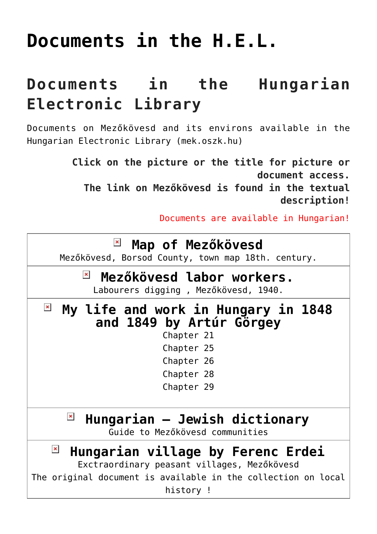# **[Documents in the H.E.L.](https://matyovk.hu/en/local-history/documents-in-the-h-e-l/)**

## **Documents in the Hungarian Electronic Library**

Documents on Mezőkövesd and its environs available in the Hungarian Electronic Library [\(mek.oszk.hu\)](http://mek.oszk.hu/)

> **Click on the picture or the title for picture or document access. The link on Mezőkövesd is found in the textual description!**

> > Documents are available in Hungarian!

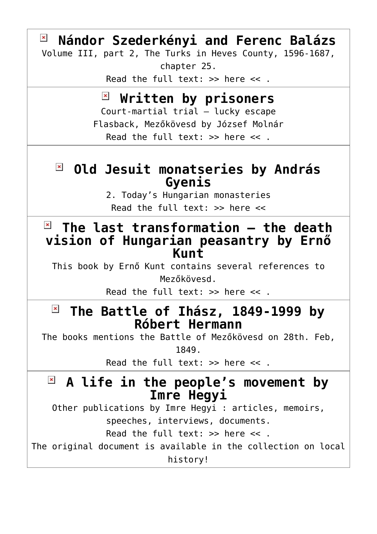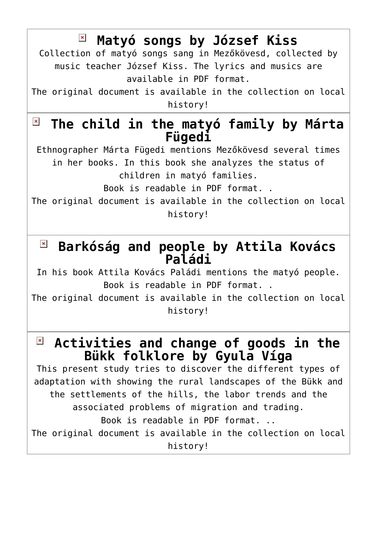**[Matyó songs by József Kiss](http://mek.oszk.hu/07600/07691/)**  $\pmb{\times}$ Collection of matyó songs sang in Mezőkövesd, collected by music teacher József Kiss. The lyrics and musics are available in PDF format. The original document is available in the collection on local history!  $\pmb{\times}$ **[The child in the matyó family by Márta](http://mek.oszk.hu/08000/08011/) [Fügedi](http://mek.oszk.hu/08000/08011/)** Ethnographer Márta Fügedi mentions Mezőkövesd several times in her books. In this book she analyzes the status of children in matyó families. Book is readable in PDF format. . The original document is available in the collection on local history! **[Barkóság and people by Attila Kovács](http://mek.oszk.hu/03400/03495/index.phtml) [Paládi](http://mek.oszk.hu/03400/03495/index.phtml)** In his book Attila Kovács Paládi mentions the matyó people. Book is readable in PDF format. . The original document is available in the collection on local history!  $\pmb{\times}$ **[Activities and change of goods in the](http://mek.oszk.hu/08000/08010/) [Bükk folklore by Gyula Víga](http://mek.oszk.hu/08000/08010/)** This present study tries to discover the different types of adaptation with showing the rural landscapes of the Bükk and the settlements of the hills, the labor trends and the associated problems of migration and trading. Book is readable in PDF format. .. The original document is available in the collection on local

history!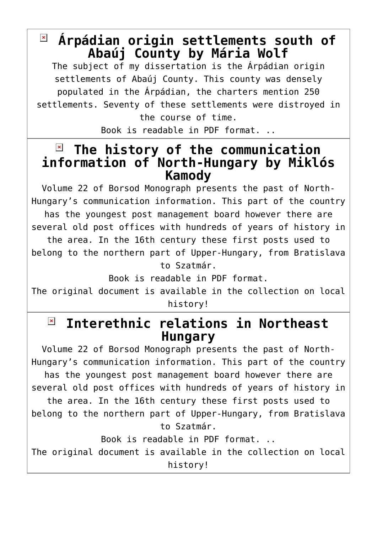## **[Árpádian origin settlements south of](http://mek.oszk.hu/08000/08009/) [Abaúj County by Mária Wolf](http://mek.oszk.hu/08000/08009/)**

The subject of my dissertation is the Arpádian origin settlements of Abaúj County. This county was densely populated in the Árpádian, the charters mention 250 settlements. Seventy of these settlements were distroyed in the course of time.

Book is readable in PDF format. ..

#### $\pmb{\times}$ **[The history of the communication](http://mek.oszk.hu/07900/07988/) [information of North-Hungary by Miklós](http://mek.oszk.hu/07900/07988/) [Kamody](http://mek.oszk.hu/07900/07988/)**

Volume 22 of Borsod Monograph presents the past of North-Hungary's communication information. This part of the country has the youngest post management board however there are several old post offices with hundreds of years of history in the area. In the 16th century these first posts used to belong to the northern part of Upper-Hungary, from Bratislava to Szatmár.

Book is readable in PDF format.

The original document is available in the collection on local history!

#### **[Interethnic relations in Northeast](http://mek.oszk.hu/07800/07824/index.phtml)**  $\pmb{\times}$ **[Hungary](http://mek.oszk.hu/07800/07824/index.phtml)**

Volume 22 of Borsod Monograph presents the past of North-Hungary's communication information. This part of the country has the youngest post management board however there are several old post offices with hundreds of years of history in the area. In the 16th century these first posts used to belong to the northern part of Upper-Hungary, from Bratislava to Szatmár.

Book is readable in PDF format. ..

The original document is available in the collection on local history!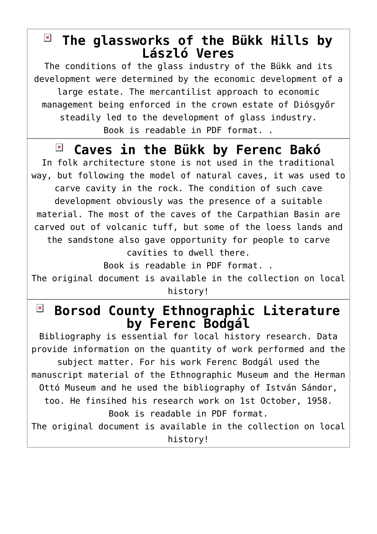## **[The glassworks of the Bükk Hills by](http://mek.oszk.hu/07800/07812/) [László Veres](http://mek.oszk.hu/07800/07812/)**

The conditions of the glass industry of the Bükk and its development were determined by the economic development of a large estate. The mercantilist approach to economic management being enforced in the crown estate of Diósgyőr steadily led to the development of glass industry. Book is readable in PDF format. .

#### **[Caves in the Bükk by Ferenc Bakó](http://mek.oszk.hu/07700/07764/)**  $\pmb{\times}$

In folk architecture stone is not used in the traditional way, but following the model of natural caves, it was used to carve cavity in the rock. The condition of such cave development obviously was the presence of a suitable material. The most of the caves of the Carpathian Basin are carved out of volcanic tuff, but some of the loess lands and the sandstone also gave opportunity for people to carve cavities to dwell there.

Book is readable in PDF format. .

The original document is available in the collection on local history!

#### $\pmb{\times}$ **[Borsod County Ethnographic Literature](http://mek.oszk.hu/07600/07644/index.phtml) [by Ferenc Bodgál](http://mek.oszk.hu/07600/07644/index.phtml)**

Bibliography is essential for local history research. Data provide information on the quantity of work performed and the subject matter. For his work Ferenc Bodgál used the manuscript material of the Ethnographic Museum and the Herman Ottó Museum and he used the bibliography of István Sándor, too. He finsihed his research work on 1st October, 1958. Book is readable in PDF format. The original document is available in the collection on local

history!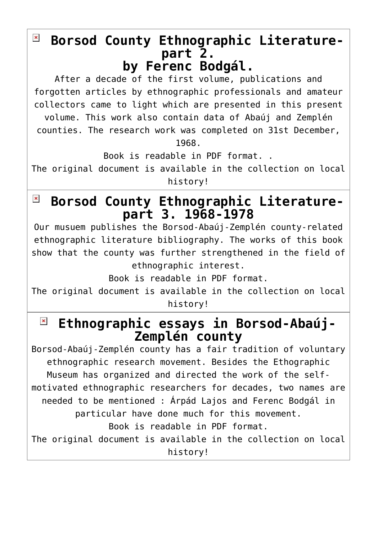#### $\pmb{\times}$ **[Borsod County Ethnographic Literature](http://mek.oszk.hu/07600/07653/index.phtml)[part 2.](http://mek.oszk.hu/07600/07653/index.phtml) [by Ferenc Bodgál.](http://mek.oszk.hu/07600/07653/index.phtml)**

After a decade of the first volume, publications and forgotten articles by ethnographic professionals and amateur collectors came to light which are presented in this present volume. This work also contain data of Abaúj and Zemplén counties. The research work was completed on 31st December,

1968.

Book is readable in PDF format. .

The original document is available in the collection on local history!

#### **[Borsod County Ethnographic Literature-](http://mek.oszk.hu/07700/07740/)** $\pmb{\times}$ **[part 3. 1968-1978](http://mek.oszk.hu/07700/07740/)**

Our musuem publishes the Borsod-Abaúj-Zemplén county-related ethnographic literature bibliography. The works of this book show that the county was further strengthened in the field of ethnographic interest.

Book is readable in PDF format.

The original document is available in the collection on local history!

#### **[Ethnographic essays in Borsod-Abaúj-](http://mek.oszk.hu/07700/07764/)** $\pmb{\times}$ **[Zemplén county](http://mek.oszk.hu/07700/07764/)**

Borsod-Abaúj-Zemplén county has a fair tradition of voluntary ethnographic research movement. Besides the Ethographic Museum has organized and directed the work of the selfmotivated ethnographic researchers for decades, two names are needed to be mentioned : Árpád Lajos and Ferenc Bodgál in particular have done much for this movement. Book is readable in PDF format.

The original document is available in the collection on local history!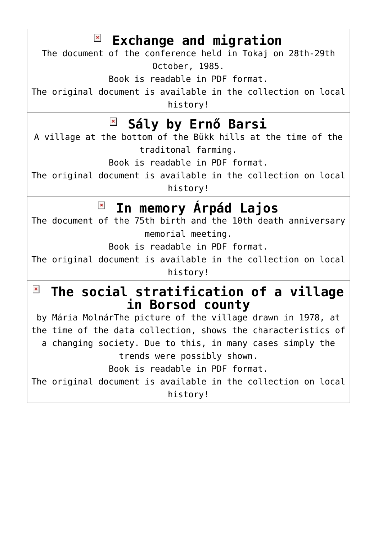| $\mathbb{F}$ Exchange and migration<br>The document of the conference held in Tokaj on 28th-29th<br>October, 1985.<br>Book is readable in PDF format.<br>The original document is available in the collection on local<br>history!                                                                                                                                                                                       |
|--------------------------------------------------------------------------------------------------------------------------------------------------------------------------------------------------------------------------------------------------------------------------------------------------------------------------------------------------------------------------------------------------------------------------|
| <b>E Sály by Ernő Barsi</b><br>A village at the bottom of the Bükk hills at the time of the<br>traditonal farming.<br>Book is readable in PDF format.<br>The original document is available in the collection on local<br>history!                                                                                                                                                                                       |
| $\pmb{\times}$<br>In memory Árpád Lajos<br>The document of the 75th birth and the 10th death anniversary<br>memorial meeting.<br>Book is readable in PDF format.<br>The original document is available in the collection on local<br>history!                                                                                                                                                                            |
| $\pmb{\times}$<br>The social stratification of a village<br>in Borsod county<br>by Mária MolnárThe picture of the village drawn in 1978, at<br>the time of the data collection, shows the characteristics of<br>a changing society. Due to this, in many cases simply the<br>trends were possibly shown.<br>Book is readable in PDF format.<br>The original document is available in the collection on local<br>history! |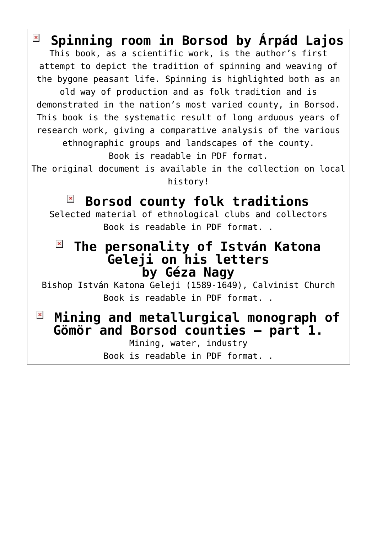| $\pmb{\times}$<br>Spinning room in Borsod by Árpád Lajos         |
|------------------------------------------------------------------|
| This book, as a scientific work, is the author's first           |
| attempt to depict the tradition of spinning and weaving of       |
| the bygone peasant life. Spinning is highlighted both as an      |
| old way of production and as folk tradition and is               |
| demonstrated in the nation's most varied county, in Borsod.      |
| This book is the systematic result of long arduous years of      |
| research work, giving a comparative analysis of the various      |
| ethnographic groups and landscapes of the county.                |
| Book is readable in PDF format.                                  |
| The original document is available in the collection on local    |
| history!                                                         |
|                                                                  |
| $\pmb{\times}$<br>Borsod county folk traditions                  |
| Selected material of ethnological clubs and collectors           |
| Book is readable in PDF format. .                                |
|                                                                  |
|                                                                  |
| The personality of István Katona<br><b>Geleji on his letters</b> |
| by Géza Nagy                                                     |
| Bishop István Katona Geleji (1589-1649), Calvinist Church        |
| Book is readable in PDF format                                   |
|                                                                  |
| $\pmb{\times}$<br>Mining and metallurgical monograph of          |
| <b>Gömör and Borsod counties - part 1.</b>                       |
| Mining, water, industry<br>Book is readable in PDF format        |